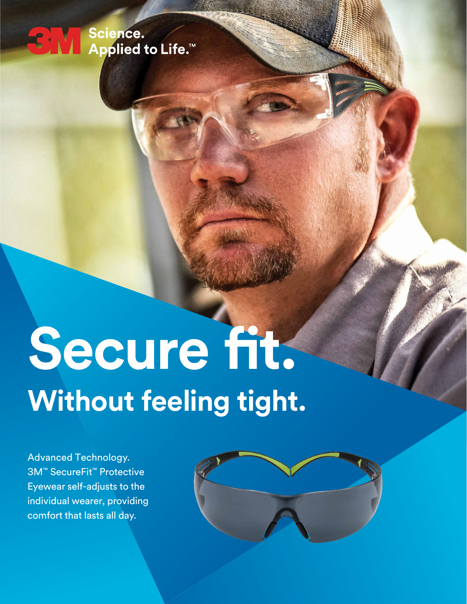# <del>●</del><br>● Science.<br>△ Applied to Life.™

# **Secure fit. Without feeling tight.**

Advanced Technology. 3M™ SecureFit™ Protective Eyewear self-adjusts to the individual wearer, providing comfort that lasts all day.

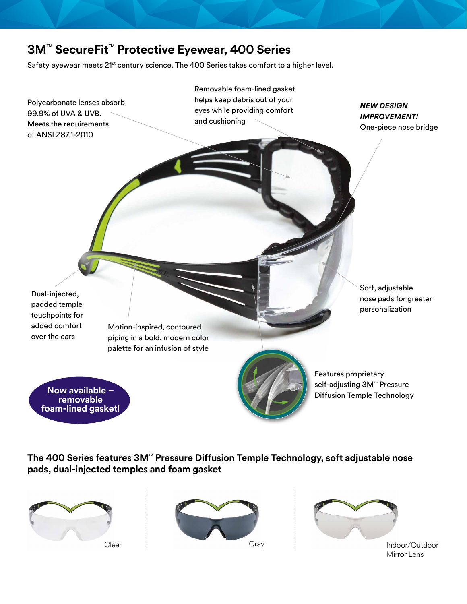### **3M**™ **SecureFit**™ **Protective Eyewear, 400 Series**

Safety eyewear meets 21<sup>st</sup> century science. The 400 Series takes comfort to a higher level.



**The 400 Series features 3M**™ **Pressure Diffusion Temple Technology, soft adjustable nose pads, dual-injected temples and foam gasket**







Mirror Lens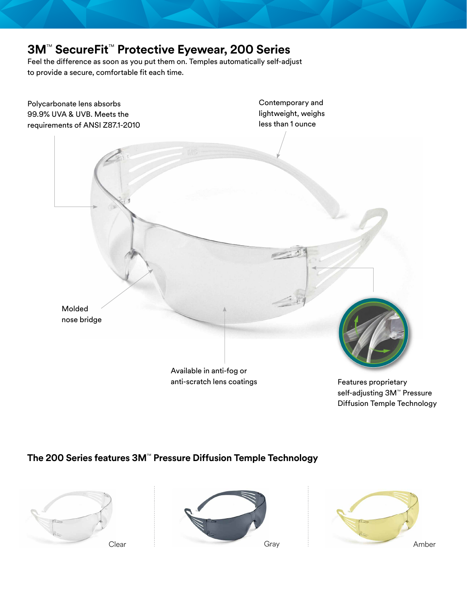## **3M**™ **SecureFit**™ **Protective Eyewear, 200 Series**

Feel the difference as soon as you put them on. Temples automatically self-adjust to provide a secure, comfortable fit each time.



self-adjusting 3M<sup>™</sup> Pressure Diffusion Temple Technology

**The 200 Series features 3M**™ **Pressure Diffusion Temple Technology**